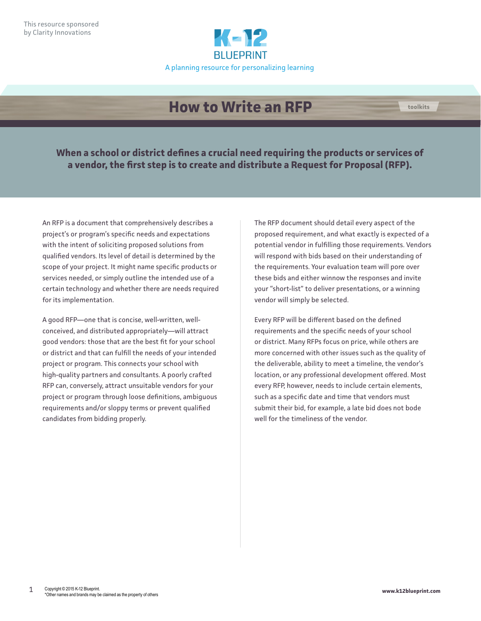

# **How to Write an RFP toolkits**

**When a school or district defines a crucial need requiring the products or services of a vendor, the first step is to create and distribute a Request for Proposal (RFP).**

An RFP is a document that comprehensively describes a project's or program's specific needs and expectations with the intent of soliciting proposed solutions from qualified vendors. Its level of detail is determined by the scope of your project. It might name specific products or services needed, or simply outline the intended use of a certain technology and whether there are needs required for its implementation.

A good RFP—one that is concise, well-written, wellconceived, and distributed appropriately—will attract good vendors: those that are the best fit for your school or district and that can fulfill the needs of your intended project or program. This connects your school with high-quality partners and consultants. A poorly crafted RFP can, conversely, attract unsuitable vendors for your project or program through loose definitions, ambiguous requirements and/or sloppy terms or prevent qualified candidates from bidding properly.

The RFP document should detail every aspect of the proposed requirement, and what exactly is expected of a potential vendor in fulfilling those requirements. Vendors will respond with bids based on their understanding of the requirements. Your evaluation team will pore over these bids and either winnow the responses and invite your "short-list" to deliver presentations, or a winning vendor will simply be selected.

Every RFP will be different based on the defined requirements and the specific needs of your school or district. Many RFPs focus on price, while others are more concerned with other issues such as the quality of the deliverable, ability to meet a timeline, the vendor's location, or any professional development offered. Most every RFP, however, needs to include certain elements, such as a specific date and time that vendors must submit their bid, for example, a late bid does not bode well for the timeliness of the vendor.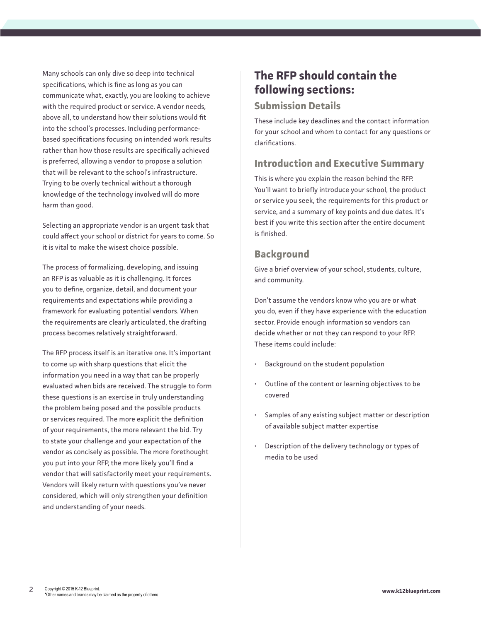Many schools can only dive so deep into technical specifications, which is fine as long as you can communicate what, exactly, you are looking to achieve with the required product or service. A vendor needs, above all, to understand how their solutions would fit into the school's processes. Including performancebased specifications focusing on intended work results rather than how those results are specifically achieved is preferred, allowing a vendor to propose a solution that will be relevant to the school's infrastructure. Trying to be overly technical without a thorough knowledge of the technology involved will do more harm than good.

Selecting an appropriate vendor is an urgent task that could affect your school or district for years to come. So it is vital to make the wisest choice possible.

The process of formalizing, developing, and issuing an RFP is as valuable as it is challenging. It forces you to define, organize, detail, and document your requirements and expectations while providing a framework for evaluating potential vendors. When the requirements are clearly articulated, the drafting process becomes relatively straightforward.

The RFP process itself is an iterative one. It's important to come up with sharp questions that elicit the information you need in a way that can be properly evaluated when bids are received. The struggle to form these questions is an exercise in truly understanding the problem being posed and the possible products or services required. The more explicit the definition of your requirements, the more relevant the bid. Try to state your challenge and your expectation of the vendor as concisely as possible. The more forethought you put into your RFP, the more likely you'll find a vendor that will satisfactorily meet your requirements. Vendors will likely return with questions you've never considered, which will only strengthen your definition and understanding of your needs.

## **The RFP should contain the following sections:**

#### **Submission Details**

These include key deadlines and the contact information for your school and whom to contact for any questions or clarifications.

## **Introduction and Executive Summary**

This is where you explain the reason behind the RFP. You'll want to briefly introduce your school, the product or service you seek, the requirements for this product or service, and a summary of key points and due dates. It's best if you write this section after the entire document is finished.

## **Background**

Give a brief overview of your school, students, culture, and community.

Don't assume the vendors know who you are or what you do, even if they have experience with the education sector. Provide enough information so vendors can decide whether or not they can respond to your RFP. These items could include:

- Background on the student population
- Outline of the content or learning objectives to be covered
- Samples of any existing subject matter or description of available subject matter expertise
- Description of the delivery technology or types of media to be used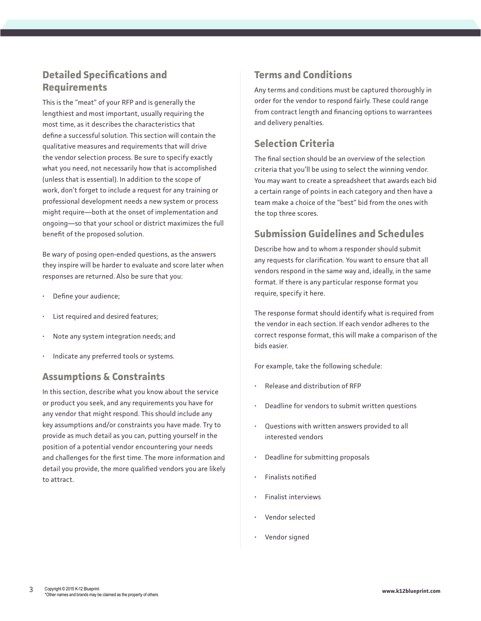## **Detailed Specifications and Requirements**

This is the "meat" of your RFP and is generally the lengthiest and most important, usually requiring the most time, as it describes the characteristics that define a successful solution. This section will contain the qualitative measures and requirements that will drive the vendor selection process. Be sure to specify exactly what you need, not necessarily how that is accomplished (unless that is essential). In addition to the scope of work, don't forget to include a request for any training or professional development needs a new system or process might require—both at the onset of implementation and ongoing—so that your school or district maximizes the full benefit of the proposed solution.

Be wary of posing open-ended questions, as the answers they inspire will be harder to evaluate and score later when responses are returned. Also be sure that you:

- Define your audience;
- List required and desired features;
- Note any system integration needs; and
- Indicate any preferred tools or systems.

#### **Assumptions & Constraints**

In this section, describe what you know about the service or product you seek, and any requirements you have for any vendor that might respond. This should include any key assumptions and/or constraints you have made. Try to provide as much detail as you can, putting yourself in the position of a potential vendor encountering your needs and challenges for the first time. The more information and detail you provide, the more qualified vendors you are likely to attract.

#### **Terms and Conditions**

Any terms and conditions must be captured thoroughly in order for the vendor to respond fairly. These could range from contract length and financing options to warrantees and delivery penalties.

#### **Selection Criteria**

The final section should be an overview of the selection criteria that you'll be using to select the winning vendor. You may want to create a spreadsheet that awards each bid a certain range of points in each category and then have a team make a choice of the "best" bid from the ones with the top three scores.

## **Submission Guidelines and Schedules**

Describe how and to whom a responder should submit any requests for clarification. You want to ensure that all vendors respond in the same way and, ideally, in the same format. If there is any particular response format you require, specify it here.

The response format should identify what is required from the vendor in each section. If each vendor adheres to the correct response format, this will make a comparison of the bids easier.

For example, take the following schedule:

- Release and distribution of RFP
- Deadline for vendors to submit written questions
- Questions with written answers provided to all interested vendors
- Deadline for submitting proposals
- Finalists notified
- Finalist interviews
- Vendor selected
- Vendor signed